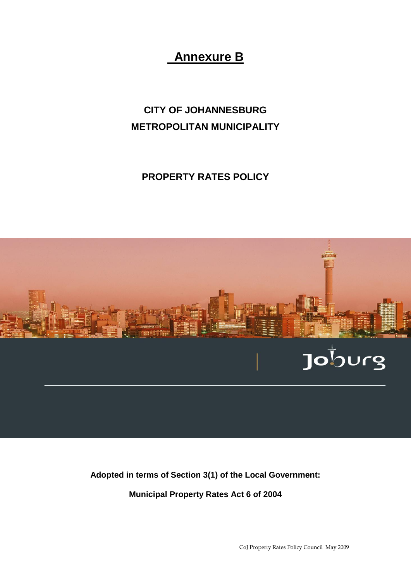# **Annexure B**

# **CITY OF JOHANNESBURG METROPOLITAN MUNICIPALITY**

## **PROPERTY RATES POLICY**



**Adopted in terms of Section 3(1) of the Local Government:** 

**Municipal Property Rates Act 6 of 2004**

CoJ Property Rates Policy Council May 2009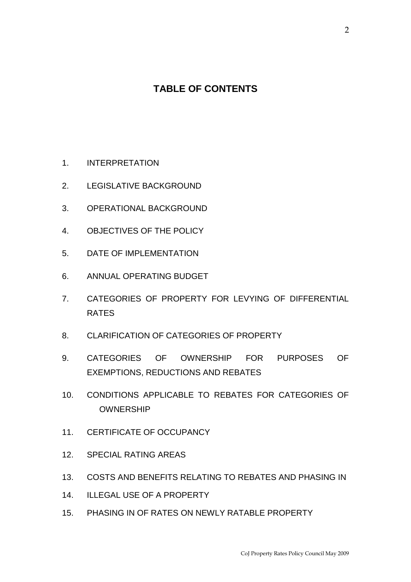## **TABLE OF CONTENTS**

- 1. INTERPRETATION
- 2. LEGISLATIVE BACKGROUND
- 3. OPERATIONAL BACKGROUND
- 4. OBJECTIVES OF THE POLICY
- 5. DATE OF IMPLEMENTATION
- 6. ANNUAL OPERATING BUDGET
- 7. CATEGORIES OF PROPERTY FOR LEVYING OF DIFFERENTIAL RATES
- 8. CLARIFICATION OF CATEGORIES OF PROPERTY
- 9. CATEGORIES OF OWNERSHIP FOR PURPOSES OF EXEMPTIONS, REDUCTIONS AND REBATES
- 10. CONDITIONS APPLICABLE TO REBATES FOR CATEGORIES OF OWNERSHIP
- 11. CERTIFICATE OF OCCUPANCY
- 12. SPECIAL RATING AREAS
- 13. COSTS AND BENEFITS RELATING TO REBATES AND PHASING IN
- 14. ILLEGAL USE OF A PROPERTY
- 15. PHASING IN OF RATES ON NEWLY RATABLE PROPERTY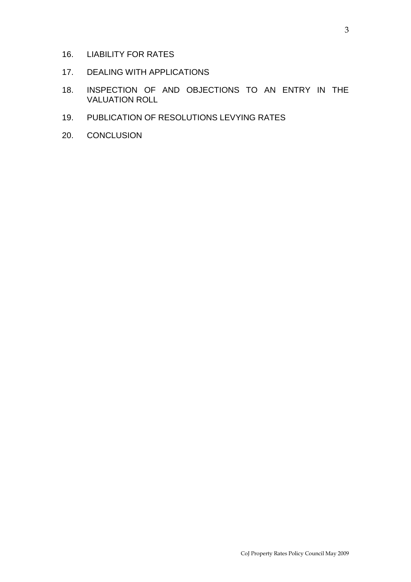- 16. LIABILITY FOR RATES
- 17. DEALING WITH APPLICATIONS
- 18. INSPECTION OF AND OBJECTIONS TO AN ENTRY IN THE VALUATION ROLL
- 19. PUBLICATION OF RESOLUTIONS LEVYING RATES
- 20. CONCLUSION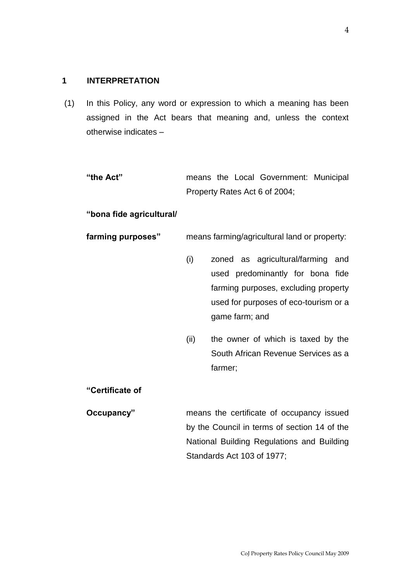#### **1 INTERPRETATION**

(1) In this Policy, any word or expression to which a meaning has been assigned in the Act bears that meaning and, unless the context otherwise indicates –

**"the Act"** means the Local Government: Municipal Property Rates Act 6 of 2004;

#### **"bona fide agricultural/**

#### **farming purposes"** means farming/agricultural land or property:

- (i) zoned as agricultural/farming and used predominantly for bona fide farming purposes, excluding property used for purposes of eco-tourism or a game farm; and
- (ii) the owner of which is taxed by the South African Revenue Services as a farmer;

#### **"Certificate of**

**Occupancy"** means the certificate of occupancy issued by the Council in terms of section 14 of the National Building Regulations and Building Standards Act 103 of 1977;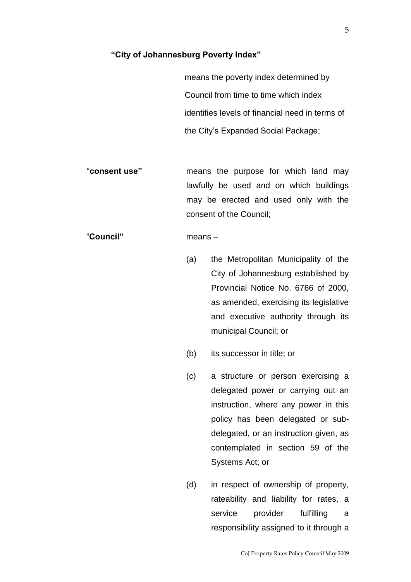#### **"City of Johannesburg Poverty Index"**

 means the poverty index determined by Council from time to time which index identifies levels of financial need in terms of the City's Expanded Social Package;

"**consent use"** means the purpose for which land may lawfully be used and on which buildings may be erected and used only with the consent of the Council;

## "**Council"** means –

- (a) the Metropolitan Municipality of the City of Johannesburg established by Provincial Notice No. 6766 of 2000, as amended, exercising its legislative and executive authority through its municipal Council; or
- (b) its successor in title; or
- (c) a structure or person exercising a delegated power or carrying out an instruction, where any power in this policy has been delegated or subdelegated, or an instruction given, as contemplated in section 59 of the Systems Act; or
- (d) in respect of ownership of property, rateability and liability for rates, a service provider fulfilling a responsibility assigned to it through a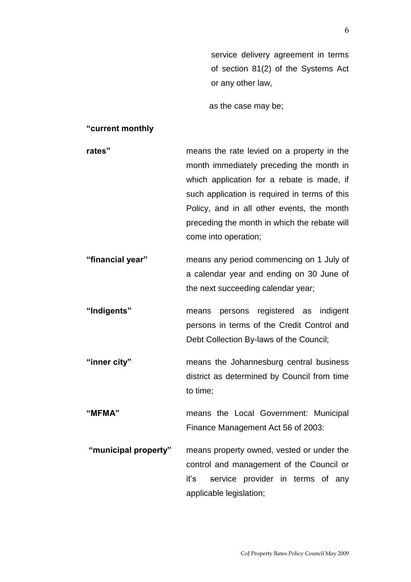service delivery agreement in terms of section 81(2) of the Systems Act or any other law,

as the case may be;

#### **"current monthly**

- **rates"** means the rate levied on a property in the month immediately preceding the month in which application for a rebate is made, if such application is required in terms of this Policy, and in all other events, the month preceding the month in which the rebate will come into operation;
- **"financial year"** means any period commencing on 1 July of a calendar year and ending on 30 June of the next succeeding calendar year;
- **"Indigents"** means persons registered as indigent persons in terms of the Credit Control and Debt Collection By-laws of the Council;
- **"inner city"** means the Johannesburg central business district as determined by Council from time to time;
- **"MFMA"** means the Local Government: Municipal Finance Management Act 56 of 2003:
- **"municipal property"** means property owned, vested or under the control and management of the Council or it's service provider in terms of any applicable legislation;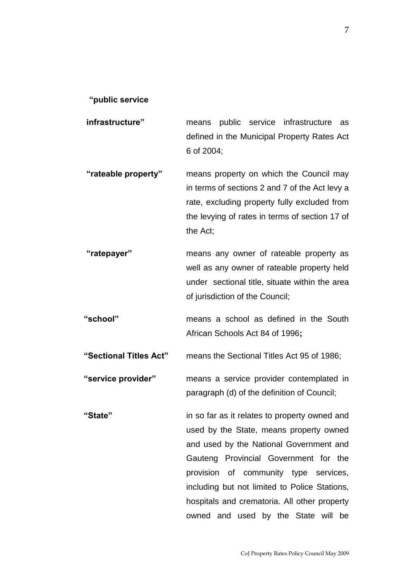#### **"public service**

- **infrastructure"** means public service infrastructure as defined in the Municipal Property Rates Act 6 of 2004;
- **"rateable property"** means property on which the Council may in terms of sections 2 and 7 of the Act levy a rate, excluding property fully excluded from the levying of rates in terms of section 17 of the Act;
- **"ratepayer"** means any owner of rateable property as well as any owner of rateable property held under sectional title, situate within the area of jurisdiction of the Council;
- **"school"** means a school as defined in the South African Schools Act 84 of 1996**;**
- **"Sectional Titles Act"** means the Sectional Titles Act 95 of 1986;
- **"service provider"** means a service provider contemplated in paragraph (d) of the definition of Council;
- **"State"** in so far as it relates to property owned and used by the State, means property owned and used by the National Government and Gauteng Provincial Government for the provision of community type services, including but not limited to Police Stations, hospitals and crematoria. All other property owned and used by the State will be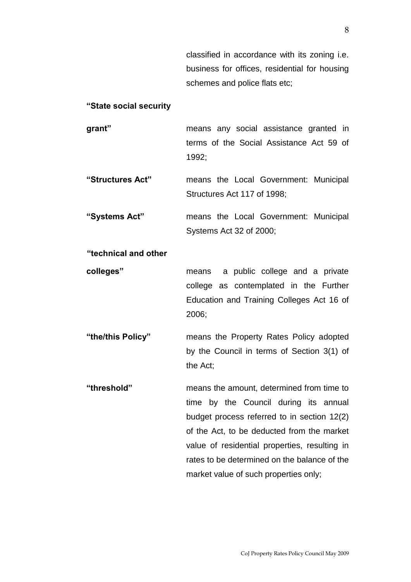classified in accordance with its zoning i.e. business for offices, residential for housing schemes and police flats etc;

#### **"State social security**

- **grant"** means any social assistance granted in terms of the Social Assistance Act 59 of 1992;
- **"Structures Act"** means the Local Government: Municipal Structures Act 117 of 1998;
- **"Systems Act"** means the Local Government: Municipal Systems Act 32 of 2000;

### **"technical and other**

**colleges"** means a public college and a private college as contemplated in the Further Education and Training Colleges Act 16 of 2006;

**"the/this Policy"** means the Property Rates Policy adopted by the Council in terms of Section 3(1) of the Act;

**"threshold"** means the amount, determined from time to time by the Council during its annual budget process referred to in section 12(2) of the Act, to be deducted from the market value of residential properties, resulting in rates to be determined on the balance of the market value of such properties only;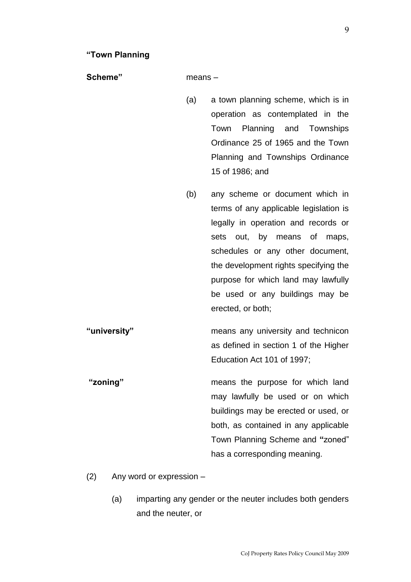**Scheme"** means –

- (a) a town planning scheme, which is in operation as contemplated in the Town Planning and Townships Ordinance 25 of 1965 and the Town Planning and Townships Ordinance 15 of 1986; and
- (b) any scheme or document which in terms of any applicable legislation is legally in operation and records or sets out, by means of maps, schedules or any other document, the development rights specifying the purpose for which land may lawfully be used or any buildings may be erected, or both;
- **"university"** means any university and technicon as defined in section 1 of the Higher Education Act 101 of 1997;

**"zoning"** means the purpose for which land may lawfully be used or on which buildings may be erected or used, or both, as contained in any applicable Town Planning Scheme and **"**zoned" has a corresponding meaning.

- (2) Any word or expression
	- (a) imparting any gender or the neuter includes both genders and the neuter, or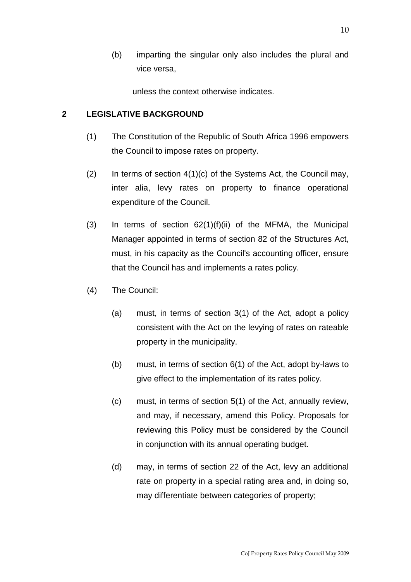(b) imparting the singular only also includes the plural and vice versa,

unless the context otherwise indicates.

## **2 LEGISLATIVE BACKGROUND**

- (1) The Constitution of the Republic of South Africa 1996 empowers the Council to impose rates on property.
- $(2)$  In terms of section  $4(1)(c)$  of the Systems Act, the Council may, inter alia, levy rates on property to finance operational expenditure of the Council.
- $(3)$  In terms of section  $62(1)(f)(ii)$  of the MFMA, the Municipal Manager appointed in terms of section 82 of the Structures Act, must, in his capacity as the Council's accounting officer, ensure that the Council has and implements a rates policy.
- (4) The Council:
	- (a) must, in terms of section 3(1) of the Act, adopt a policy consistent with the Act on the levying of rates on rateable property in the municipality.
	- (b) must, in terms of section 6(1) of the Act, adopt by-laws to give effect to the implementation of its rates policy.
	- (c) must, in terms of section 5(1) of the Act, annually review, and may, if necessary, amend this Policy. Proposals for reviewing this Policy must be considered by the Council in conjunction with its annual operating budget.
	- (d) may, in terms of section 22 of the Act, levy an additional rate on property in a special rating area and, in doing so, may differentiate between categories of property;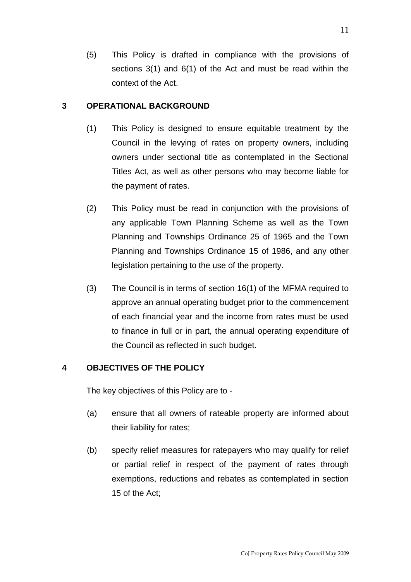(5) This Policy is drafted in compliance with the provisions of sections 3(1) and 6(1) of the Act and must be read within the context of the Act.

## **3 OPERATIONAL BACKGROUND**

- (1) This Policy is designed to ensure equitable treatment by the Council in the levying of rates on property owners, including owners under sectional title as contemplated in the Sectional Titles Act, as well as other persons who may become liable for the payment of rates.
- (2) This Policy must be read in conjunction with the provisions of any applicable Town Planning Scheme as well as the Town Planning and Townships Ordinance 25 of 1965 and the Town Planning and Townships Ordinance 15 of 1986, and any other legislation pertaining to the use of the property.
- (3) The Council is in terms of section 16(1) of the MFMA required to approve an annual operating budget prior to the commencement of each financial year and the income from rates must be used to finance in full or in part, the annual operating expenditure of the Council as reflected in such budget.

## **4 OBJECTIVES OF THE POLICY**

The key objectives of this Policy are to -

- (a) ensure that all owners of rateable property are informed about their liability for rates;
- (b) specify relief measures for ratepayers who may qualify for relief or partial relief in respect of the payment of rates through exemptions, reductions and rebates as contemplated in section 15 of the Act;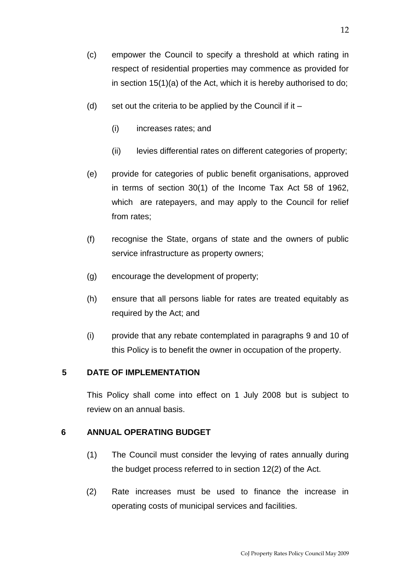- (d) set out the criteria to be applied by the Council if it  $-$ 
	- (i) increases rates; and
	- (ii) levies differential rates on different categories of property;
- (e) provide for categories of public benefit organisations, approved in terms of section 30(1) of the Income Tax Act 58 of 1962, which are ratepayers, and may apply to the Council for relief from rates;
- (f) recognise the State, organs of state and the owners of public service infrastructure as property owners;
- (g) encourage the development of property;
- (h) ensure that all persons liable for rates are treated equitably as required by the Act; and
- (i) provide that any rebate contemplated in paragraphs 9 and 10 of this Policy is to benefit the owner in occupation of the property.

## **5 DATE OF IMPLEMENTATION**

This Policy shall come into effect on 1 July 2008 but is subject to review on an annual basis.

## **6 ANNUAL OPERATING BUDGET**

- (1) The Council must consider the levying of rates annually during the budget process referred to in section 12(2) of the Act.
- (2) Rate increases must be used to finance the increase in operating costs of municipal services and facilities.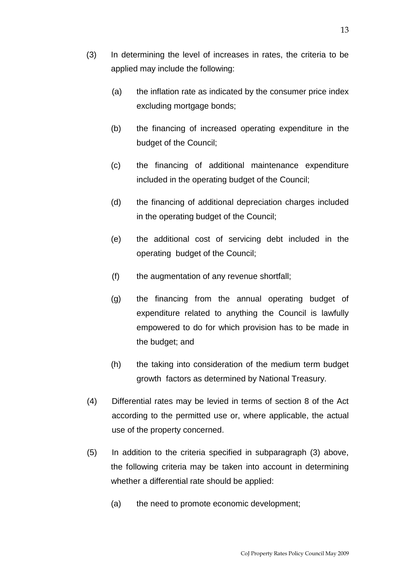- (3) In determining the level of increases in rates, the criteria to be applied may include the following:
	- (a) the inflation rate as indicated by the consumer price index excluding mortgage bonds;
	- (b) the financing of increased operating expenditure in the budget of the Council;
	- (c) the financing of additional maintenance expenditure included in the operating budget of the Council;
	- (d) the financing of additional depreciation charges included in the operating budget of the Council;
	- (e) the additional cost of servicing debt included in the operating budget of the Council;
	- (f) the augmentation of any revenue shortfall;
	- (g) the financing from the annual operating budget of expenditure related to anything the Council is lawfully empowered to do for which provision has to be made in the budget; and
	- (h) the taking into consideration of the medium term budget growth factors as determined by National Treasury.
- (4) Differential rates may be levied in terms of section 8 of the Act according to the permitted use or, where applicable, the actual use of the property concerned.
- (5) In addition to the criteria specified in subparagraph (3) above, the following criteria may be taken into account in determining whether a differential rate should be applied:
	- (a) the need to promote economic development;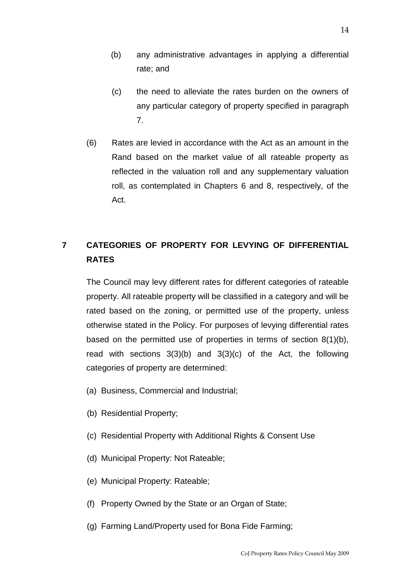- (b) any administrative advantages in applying a differential rate; and
- (c) the need to alleviate the rates burden on the owners of any particular category of property specified in paragraph 7.
- (6) Rates are levied in accordance with the Act as an amount in the Rand based on the market value of all rateable property as reflected in the valuation roll and any supplementary valuation roll, as contemplated in Chapters 6 and 8, respectively, of the Act.

## **7 CATEGORIES OF PROPERTY FOR LEVYING OF DIFFERENTIAL RATES**

The Council may levy different rates for different categories of rateable property. All rateable property will be classified in a category and will be rated based on the zoning, or permitted use of the property, unless otherwise stated in the Policy. For purposes of levying differential rates based on the permitted use of properties in terms of section 8(1)(b), read with sections 3(3)(b) and 3(3)(c) of the Act, the following categories of property are determined:

- (a) Business, Commercial and Industrial;
- (b) Residential Property;
- (c) Residential Property with Additional Rights & Consent Use
- (d) Municipal Property: Not Rateable;
- (e) Municipal Property: Rateable;
- (f) Property Owned by the State or an Organ of State;
- (g) Farming Land/Property used for Bona Fide Farming;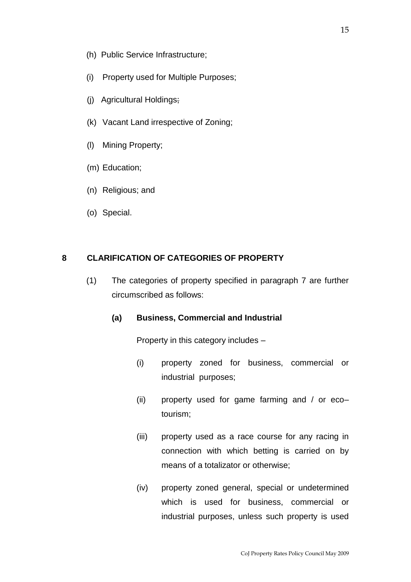- (h) Public Service Infrastructure;
- (i) Property used for Multiple Purposes;
- (j) Agricultural Holdings;
- (k) Vacant Land irrespective of Zoning;
- (l) Mining Property;
- (m) Education;
- (n) Religious; and
- (o) Special.

#### **8 CLARIFICATION OF CATEGORIES OF PROPERTY**

(1) The categories of property specified in paragraph 7 are further circumscribed as follows:

#### **(a) Business, Commercial and Industrial**

Property in this category includes –

- (i) property zoned for business, commercial or industrial purposes;
- (ii) property used for game farming and / or eco– tourism;
- (iii) property used as a race course for any racing in connection with which betting is carried on by means of a totalizator or otherwise;
- (iv) property zoned general, special or undetermined which is used for business, commercial or industrial purposes, unless such property is used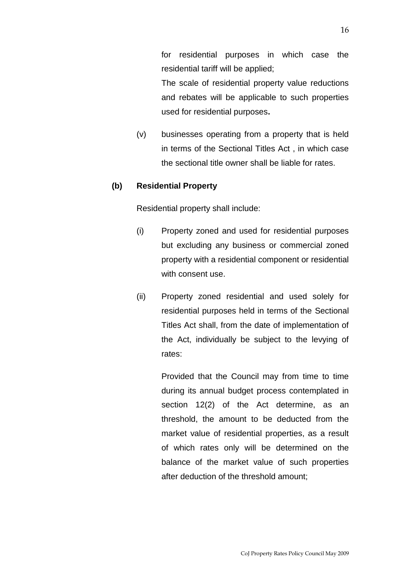for residential purposes in which case the residential tariff will be applied;

The scale of residential property value reductions and rebates will be applicable to such properties used for residential purposes**.** 

(v) businesses operating from a property that is held in terms of the Sectional Titles Act , in which case the sectional title owner shall be liable for rates.

### **(b) Residential Property**

Residential property shall include:

- (i) Property zoned and used for residential purposes but excluding any business or commercial zoned property with a residential component or residential with consent use.
- (ii) Property zoned residential and used solely for residential purposes held in terms of the Sectional Titles Act shall, from the date of implementation of the Act, individually be subject to the levying of rates:

Provided that the Council may from time to time during its annual budget process contemplated in section 12(2) of the Act determine, as an threshold, the amount to be deducted from the market value of residential properties, as a result of which rates only will be determined on the balance of the market value of such properties after deduction of the threshold amount;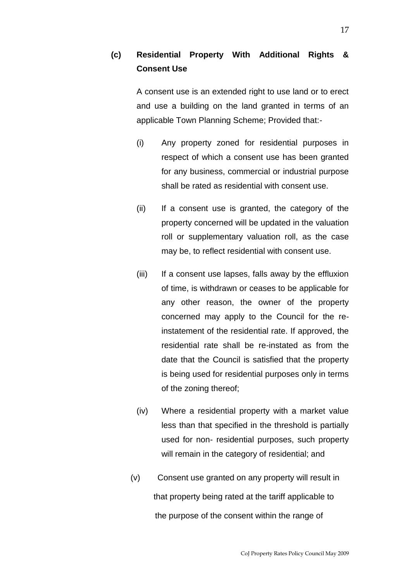## **(c) Residential Property With Additional Rights & Consent Use**

A consent use is an extended right to use land or to erect and use a building on the land granted in terms of an applicable Town Planning Scheme; Provided that:-

- (i) Any property zoned for residential purposes in respect of which a consent use has been granted for any business, commercial or industrial purpose shall be rated as residential with consent use.
- (ii) If a consent use is granted, the category of the property concerned will be updated in the valuation roll or supplementary valuation roll, as the case may be, to reflect residential with consent use.
- (iii) If a consent use lapses, falls away by the effluxion of time, is withdrawn or ceases to be applicable for any other reason, the owner of the property concerned may apply to the Council for the reinstatement of the residential rate. If approved, the residential rate shall be re-instated as from the date that the Council is satisfied that the property is being used for residential purposes only in terms of the zoning thereof;
- (iv) Where a residential property with a market value less than that specified in the threshold is partially used for non- residential purposes, such property will remain in the category of residential; and
- (v) Consent use granted on any property will result in that property being rated at the tariff applicable to the purpose of the consent within the range of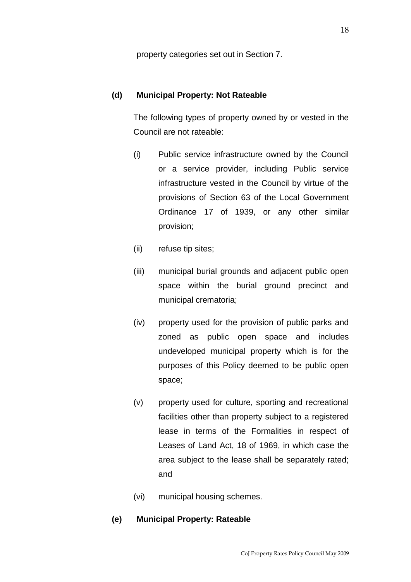property categories set out in Section 7.

### **(d) Municipal Property: Not Rateable**

The following types of property owned by or vested in the Council are not rateable:

- (i) Public service infrastructure owned by the Council or a service provider, including Public service infrastructure vested in the Council by virtue of the provisions of Section 63 of the Local Government Ordinance 17 of 1939, or any other similar provision;
- (ii) refuse tip sites;
- (iii) municipal burial grounds and adjacent public open space within the burial ground precinct and municipal crematoria;
- (iv) property used for the provision of public parks and zoned as public open space and includes undeveloped municipal property which is for the purposes of this Policy deemed to be public open space;
- (v) property used for culture, sporting and recreational facilities other than property subject to a registered lease in terms of the Formalities in respect of Leases of Land Act, 18 of 1969, in which case the area subject to the lease shall be separately rated; and
- (vi) municipal housing schemes.

#### **(e) Municipal Property: Rateable**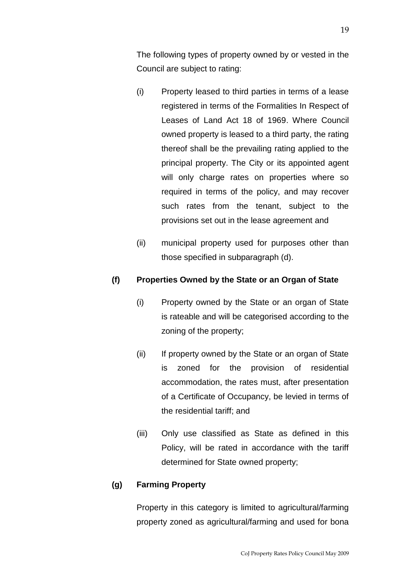The following types of property owned by or vested in the Council are subject to rating:

- (i) Property leased to third parties in terms of a lease registered in terms of the Formalities In Respect of Leases of Land Act 18 of 1969. Where Council owned property is leased to a third party, the rating thereof shall be the prevailing rating applied to the principal property. The City or its appointed agent will only charge rates on properties where so required in terms of the policy, and may recover such rates from the tenant, subject to the provisions set out in the lease agreement and
- (ii) municipal property used for purposes other than those specified in subparagraph (d).

## **(f) Properties Owned by the State or an Organ of State**

- (i) Property owned by the State or an organ of State is rateable and will be categorised according to the zoning of the property;
- (ii) If property owned by the State or an organ of State is zoned for the provision of residential accommodation, the rates must, after presentation of a Certificate of Occupancy, be levied in terms of the residential tariff; and
- (iii) Only use classified as State as defined in this Policy, will be rated in accordance with the tariff determined for State owned property;

## **(g) Farming Property**

Property in this category is limited to agricultural/farming property zoned as agricultural/farming and used for bona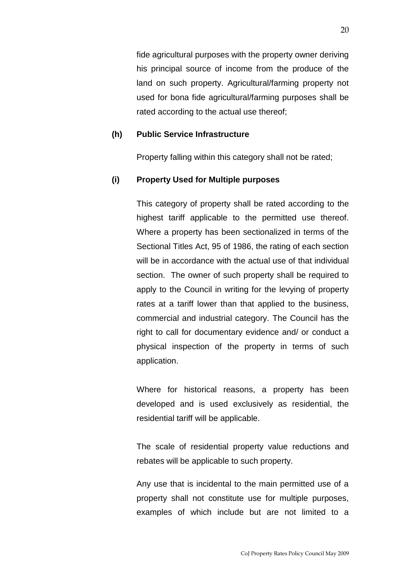fide agricultural purposes with the property owner deriving his principal source of income from the produce of the land on such property. Agricultural/farming property not used for bona fide agricultural/farming purposes shall be rated according to the actual use thereof;

### **(h) Public Service Infrastructure**

Property falling within this category shall not be rated;

#### **(i) Property Used for Multiple purposes**

This category of property shall be rated according to the highest tariff applicable to the permitted use thereof. Where a property has been sectionalized in terms of the Sectional Titles Act, 95 of 1986, the rating of each section will be in accordance with the actual use of that individual section. The owner of such property shall be required to apply to the Council in writing for the levying of property rates at a tariff lower than that applied to the business, commercial and industrial category. The Council has the right to call for documentary evidence and/ or conduct a physical inspection of the property in terms of such application.

Where for historical reasons, a property has been developed and is used exclusively as residential, the residential tariff will be applicable.

The scale of residential property value reductions and rebates will be applicable to such property.

Any use that is incidental to the main permitted use of a property shall not constitute use for multiple purposes, examples of which include but are not limited to a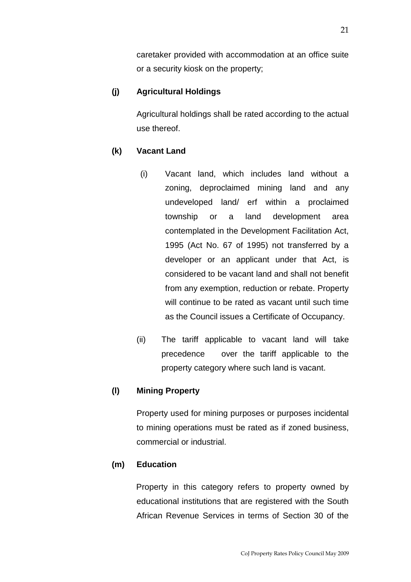caretaker provided with accommodation at an office suite or a security kiosk on the property;

### **(j) Agricultural Holdings**

Agricultural holdings shall be rated according to the actual use thereof.

### **(k) Vacant Land**

- (i) Vacant land, which includes land without a zoning, deproclaimed mining land and any undeveloped land/ erf within a proclaimed township or a land development area contemplated in the Development Facilitation Act, 1995 (Act No. 67 of 1995) not transferred by a developer or an applicant under that Act, is considered to be vacant land and shall not benefit from any exemption, reduction or rebate. Property will continue to be rated as vacant until such time as the Council issues a Certificate of Occupancy.
- (ii) The tariff applicable to vacant land will take precedence over the tariff applicable to the property category where such land is vacant.

### **(l) Mining Property**

Property used for mining purposes or purposes incidental to mining operations must be rated as if zoned business, commercial or industrial.

### **(m) Education**

Property in this category refers to property owned by educational institutions that are registered with the South African Revenue Services in terms of Section 30 of the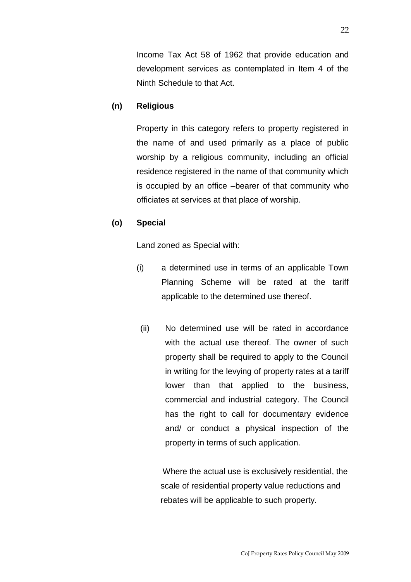Income Tax Act 58 of 1962 that provide education and development services as contemplated in Item 4 of the Ninth Schedule to that Act.

#### **(n) Religious**

Property in this category refers to property registered in the name of and used primarily as a place of public worship by a religious community, including an official residence registered in the name of that community which is occupied by an office –bearer of that community who officiates at services at that place of worship.

#### **(o) Special**

Land zoned as Special with:

- (i) a determined use in terms of an applicable Town Planning Scheme will be rated at the tariff applicable to the determined use thereof.
- (ii) No determined use will be rated in accordance with the actual use thereof. The owner of such property shall be required to apply to the Council in writing for the levying of property rates at a tariff lower than that applied to the business, commercial and industrial category. The Council has the right to call for documentary evidence and/ or conduct a physical inspection of the property in terms of such application.

 Where the actual use is exclusively residential, the scale of residential property value reductions and rebates will be applicable to such property.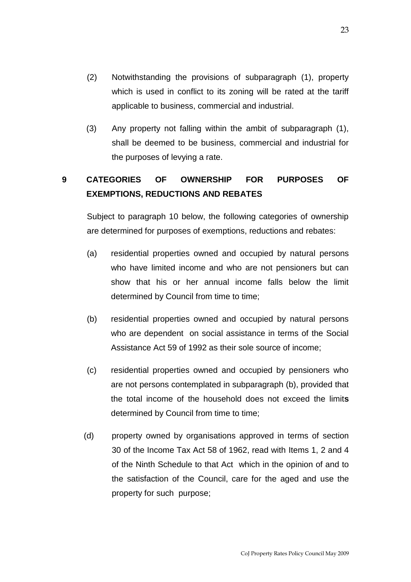- (2) Notwithstanding the provisions of subparagraph (1), property which is used in conflict to its zoning will be rated at the tariff applicable to business, commercial and industrial.
- (3) Any property not falling within the ambit of subparagraph (1), shall be deemed to be business, commercial and industrial for the purposes of levying a rate.

## **9 CATEGORIES OF OWNERSHIP FOR PURPOSES OF EXEMPTIONS, REDUCTIONS AND REBATES**

Subject to paragraph 10 below, the following categories of ownership are determined for purposes of exemptions, reductions and rebates:

- (a) residential properties owned and occupied by natural persons who have limited income and who are not pensioners but can show that his or her annual income falls below the limit determined by Council from time to time;
- (b) residential properties owned and occupied by natural persons who are dependent on social assistance in terms of the Social Assistance Act 59 of 1992 as their sole source of income;
- (c) residential properties owned and occupied by pensioners who are not persons contemplated in subparagraph (b), provided that the total income of the household does not exceed the limit**s** determined by Council from time to time;
- (d) property owned by organisations approved in terms of section 30 of the Income Tax Act 58 of 1962, read with Items 1, 2 and 4 of the Ninth Schedule to that Act which in the opinion of and to the satisfaction of the Council, care for the aged and use the property for such purpose;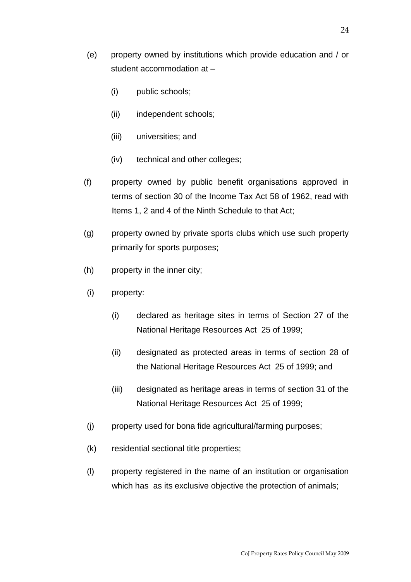- (e) property owned by institutions which provide education and / or student accommodation at –
	- (i) public schools;
	- (ii) independent schools;
	- (iii) universities; and
	- (iv) technical and other colleges;
- (f) property owned by public benefit organisations approved in terms of section 30 of the Income Tax Act 58 of 1962, read with Items 1, 2 and 4 of the Ninth Schedule to that Act;
- (g) property owned by private sports clubs which use such property primarily for sports purposes;
- (h) property in the inner city;
- (i) property:
	- (i) declared as heritage sites in terms of Section 27 of the National Heritage Resources Act 25 of 1999;
	- (ii) designated as protected areas in terms of section 28 of the National Heritage Resources Act 25 of 1999; and
	- (iii) designated as heritage areas in terms of section 31 of the National Heritage Resources Act 25 of 1999;
- (j) property used for bona fide agricultural/farming purposes;
- (k) residential sectional title properties;
- (l) property registered in the name of an institution or organisation which has as its exclusive objective the protection of animals;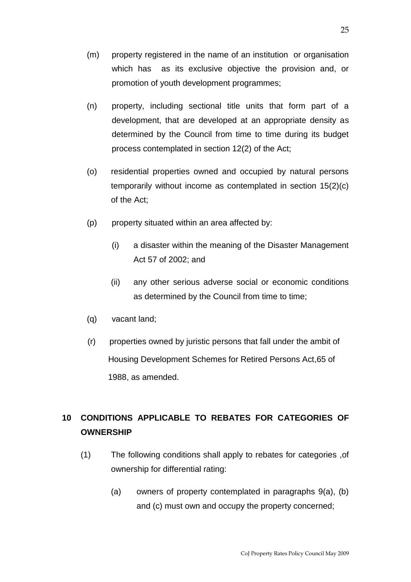- (m) property registered in the name of an institution or organisation which has as its exclusive objective the provision and, or promotion of youth development programmes;
- (n) property, including sectional title units that form part of a development, that are developed at an appropriate density as determined by the Council from time to time during its budget process contemplated in section 12(2) of the Act;
- (o) residential properties owned and occupied by natural persons temporarily without income as contemplated in section 15(2)(c) of the Act;
- (p) property situated within an area affected by:
	- (i) a disaster within the meaning of the Disaster Management Act 57 of 2002; and
	- (ii) any other serious adverse social or economic conditions as determined by the Council from time to time;
- (q) vacant land;
- (r) properties owned by juristic persons that fall under the ambit of Housing Development Schemes for Retired Persons Act,65 of 1988, as amended.

## **10 CONDITIONS APPLICABLE TO REBATES FOR CATEGORIES OF OWNERSHIP**

- (1) The following conditions shall apply to rebates for categories ,of ownership for differential rating:
	- (a) owners of property contemplated in paragraphs 9(a), (b) and (c) must own and occupy the property concerned;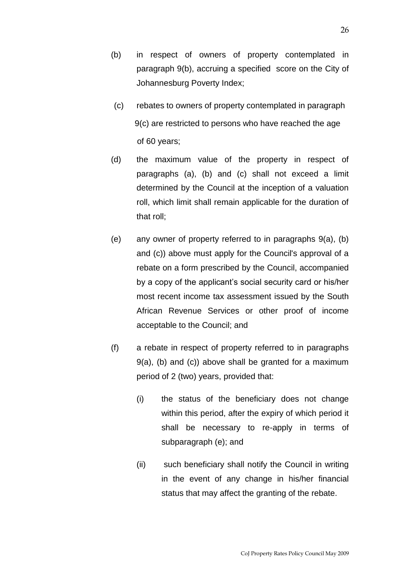- (b) in respect of owners of property contemplated in paragraph 9(b), accruing a specified score on the City of Johannesburg Poverty Index;
- (c) rebates to owners of property contemplated in paragraph 9(c) are restricted to persons who have reached the age of 60 years;
- (d) the maximum value of the property in respect of paragraphs (a), (b) and (c) shall not exceed a limit determined by the Council at the inception of a valuation roll, which limit shall remain applicable for the duration of that roll;
- (e) any owner of property referred to in paragraphs 9(a), (b) and (c)) above must apply for the Council's approval of a rebate on a form prescribed by the Council, accompanied by a copy of the applicant's social security card or his/her most recent income tax assessment issued by the South African Revenue Services or other proof of income acceptable to the Council; and
- (f) a rebate in respect of property referred to in paragraphs 9(a), (b) and (c)) above shall be granted for a maximum period of 2 (two) years, provided that:
	- (i) the status of the beneficiary does not change within this period, after the expiry of which period it shall be necessary to re-apply in terms of subparagraph (e); and
	- (ii) such beneficiary shall notify the Council in writing in the event of any change in his/her financial status that may affect the granting of the rebate.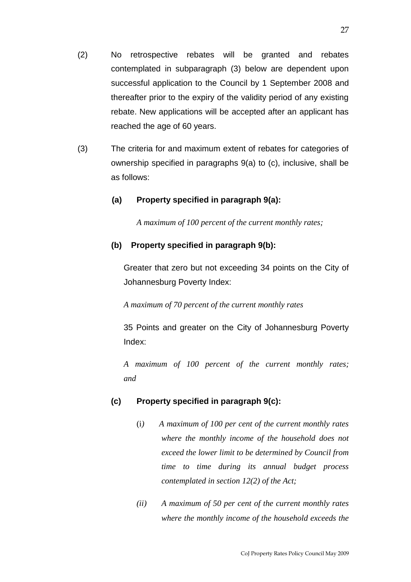- (2) No retrospective rebates will be granted and rebates contemplated in subparagraph (3) below are dependent upon successful application to the Council by 1 September 2008 and thereafter prior to the expiry of the validity period of any existing rebate. New applications will be accepted after an applicant has reached the age of 60 years.
- (3) The criteria for and maximum extent of rebates for categories of ownership specified in paragraphs 9(a) to (c), inclusive, shall be as follows:

### **(a) Property specified in paragraph 9(a):**

*A maximum of 100 percent of the current monthly rates;*

#### **(b) Property specified in paragraph 9(b):**

Greater that zero but not exceeding 34 points on the City of Johannesburg Poverty Index:

*A maximum of 70 percent of the current monthly rates*

35 Points and greater on the City of Johannesburg Poverty Index:

*A maximum of 100 percent of the current monthly rates; and*

#### **(c) Property specified in paragraph 9(c):**

- (i*) A maximum of 100 per cent of the current monthly rates where the monthly income of the household does not exceed the lower limit to be determined by Council from time to time during its annual budget process contemplated in section 12(2) of the Act;*
- *(ii) A maximum of 50 per cent of the current monthly rates where the monthly income of the household exceeds the*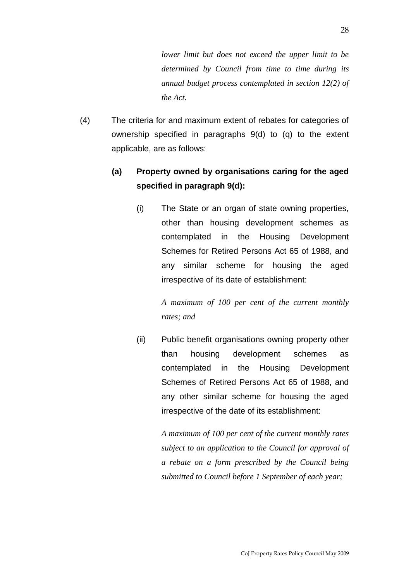*lower limit but does not exceed the upper limit to be determined by Council from time to time during its annual budget process contemplated in section 12(2) of the Act.* 

(4) The criteria for and maximum extent of rebates for categories of ownership specified in paragraphs 9(d) to (q) to the extent applicable, are as follows:

## **(a) Property owned by organisations caring for the aged specified in paragraph 9(d):**

(i) The State or an organ of state owning properties, other than housing development schemes as contemplated in the Housing Development Schemes for Retired Persons Act 65 of 1988, and any similar scheme for housing the aged irrespective of its date of establishment:

> *A maximum of 100 per cent of the current monthly rates; and*

(ii) Public benefit organisations owning property other than housing development schemes as contemplated in the Housing Development Schemes of Retired Persons Act 65 of 1988, and any other similar scheme for housing the aged irrespective of the date of its establishment:

> *A maximum of 100 per cent of the current monthly rates subject to an application to the Council for approval of a rebate on a form prescribed by the Council being submitted to Council before 1 September of each year;*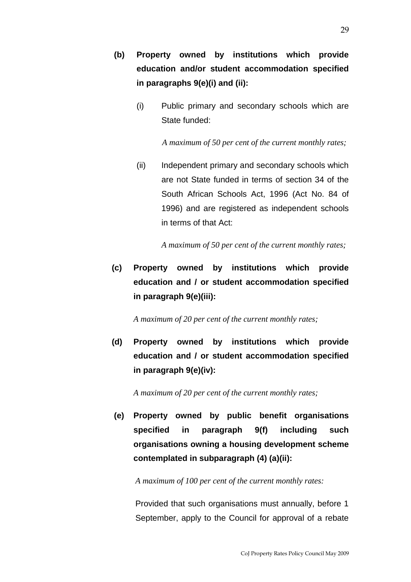- **(b) Property owned by institutions which provide education and/or student accommodation specified in paragraphs 9(e)(i) and (ii):**
	- (i) Public primary and secondary schools which are State funded:

 *A maximum of 50 per cent of the current monthly rates;*

(ii) Independent primary and secondary schools which are not State funded in terms of section 34 of the South African Schools Act, 1996 (Act No. 84 of 1996) and are registered as independent schools in terms of that Act:

*A maximum of 50 per cent of the current monthly rates;*

**(c) Property owned by institutions which provide education and / or student accommodation specified in paragraph 9(e)(iii):**

*A maximum of 20 per cent of the current monthly rates;*

**(d) Property owned by institutions which provide education and / or student accommodation specified in paragraph 9(e)(iv):**

*A maximum of 20 per cent of the current monthly rates;*

**(e) Property owned by public benefit organisations specified in paragraph 9(f) including such organisations owning a housing development scheme contemplated in subparagraph (4) (a)(ii):**

*A maximum of 100 per cent of the current monthly rates:* 

Provided that such organisations must annually, before 1 September, apply to the Council for approval of a rebate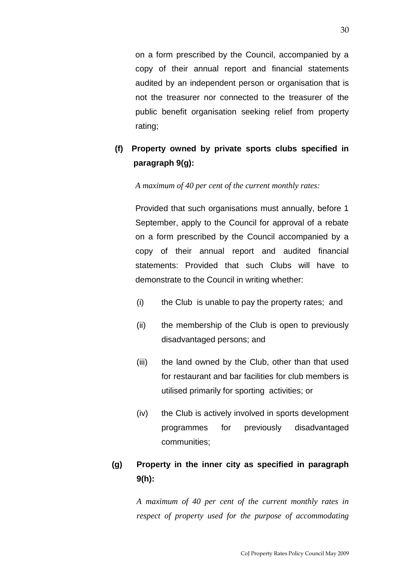on a form prescribed by the Council, accompanied by a copy of their annual report and financial statements audited by an independent person or organisation that is not the treasurer nor connected to the treasurer of the public benefit organisation seeking relief from property rating;

## **(f) Property owned by private sports clubs specified in paragraph 9(g):**

*A maximum of 40 per cent of the current monthly rates:* 

Provided that such organisations must annually, before 1 September, apply to the Council for approval of a rebate on a form prescribed by the Council accompanied by a copy of their annual report and audited financial statements: Provided that such Clubs will have to demonstrate to the Council in writing whether:

- (i) the Club is unable to pay the property rates; and
- (ii) the membership of the Club is open to previously disadvantaged persons; and
- (iii) the land owned by the Club, other than that used for restaurant and bar facilities for club members is utilised primarily for sporting activities; or
- (iv) the Club is actively involved in sports development programmes for previously disadvantaged communities;

## **(g) Property in the inner city as specified in paragraph 9(h):**

*A maximum of 40 per cent of the current monthly rates in respect of property used for the purpose of accommodating*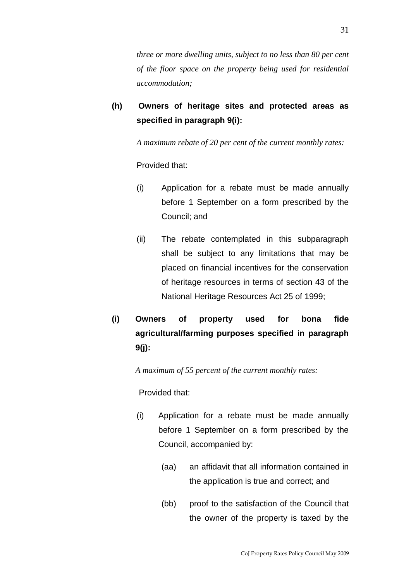*three or more dwelling units, subject to no less than 80 per cent of the floor space on the property being used for residential accommodation;*

**(h) Owners of heritage sites and protected areas as specified in paragraph 9(i):**

*A maximum rebate of 20 per cent of the current monthly rates:*

Provided that:

- (i) Application for a rebate must be made annually before 1 September on a form prescribed by the Council; and
- (ii) The rebate contemplated in this subparagraph shall be subject to any limitations that may be placed on financial incentives for the conservation of heritage resources in terms of section 43 of the National Heritage Resources Act 25 of 1999;
- **(i) Owners of property used for bona fide agricultural/farming purposes specified in paragraph 9(j):**

*A maximum of 55 percent of the current monthly rates:*

Provided that:

- (i) Application for a rebate must be made annually before 1 September on a form prescribed by the Council, accompanied by:
	- (aa) an affidavit that all information contained in the application is true and correct; and
	- (bb) proof to the satisfaction of the Council that the owner of the property is taxed by the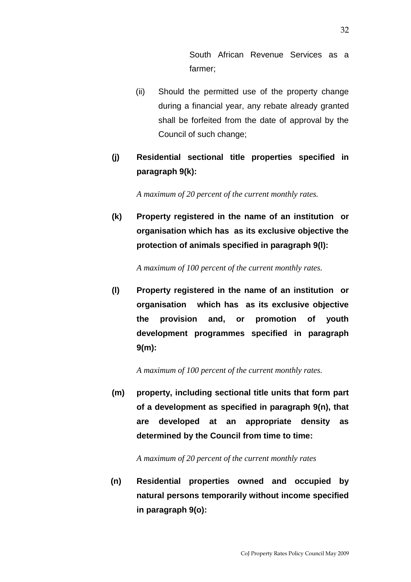South African Revenue Services as a farmer;

- (ii) Should the permitted use of the property change during a financial year, any rebate already granted shall be forfeited from the date of approval by the Council of such change;
- **(j) Residential sectional title properties specified in paragraph 9(k):**

*A maximum of 20 percent of the current monthly rates.*

**(k) Property registered in the name of an institution or organisation which has as its exclusive objective the protection of animals specified in paragraph 9(l):**

*A maximum of 100 percent of the current monthly rates.*

**(l) Property registered in the name of an institution or organisation which has as its exclusive objective the provision and, or promotion of youth development programmes specified in paragraph 9(m):**

*A maximum of 100 percent of the current monthly rates.*

**(m) property, including sectional title units that form part of a development as specified in paragraph 9(n), that are developed at an appropriate density as determined by the Council from time to time:**

*A maximum of 20 percent of the current monthly rates*

**(n) Residential properties owned and occupied by natural persons temporarily without income specified in paragraph 9(o):**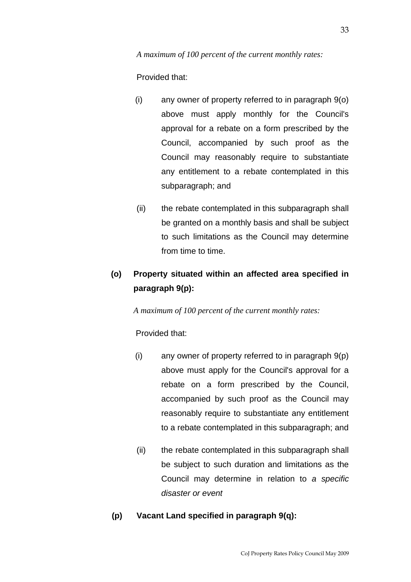Provided that:

- (i) any owner of property referred to in paragraph 9(o) above must apply monthly for the Council's approval for a rebate on a form prescribed by the Council, accompanied by such proof as the Council may reasonably require to substantiate any entitlement to a rebate contemplated in this subparagraph; and
- (ii) the rebate contemplated in this subparagraph shall be granted on a monthly basis and shall be subject to such limitations as the Council may determine from time to time.

## **(o) Property situated within an affected area specified in paragraph 9(p):**

*A maximum of 100 percent of the current monthly rates:*

Provided that:

- (i) any owner of property referred to in paragraph 9(p) above must apply for the Council's approval for a rebate on a form prescribed by the Council, accompanied by such proof as the Council may reasonably require to substantiate any entitlement to a rebate contemplated in this subparagraph; and
- (ii) the rebate contemplated in this subparagraph shall be subject to such duration and limitations as the Council may determine in relation to *a specific disaster or event*

## **(p) Vacant Land specified in paragraph 9(q):**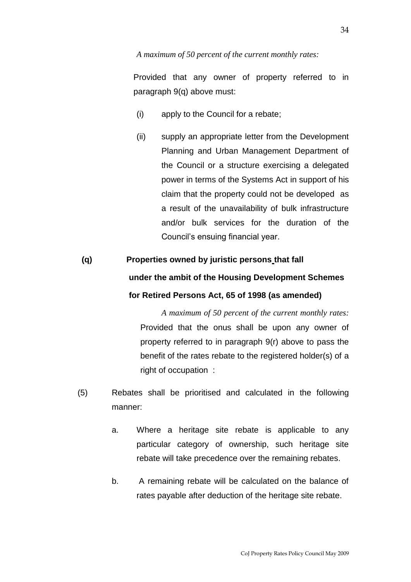#### *A maximum of 50 percent of the current monthly rates:*

Provided that any owner of property referred to in paragraph 9(q) above must:

- (i) apply to the Council for a rebate;
- (ii) supply an appropriate letter from the Development Planning and Urban Management Department of the Council or a structure exercising a delegated power in terms of the Systems Act in support of his claim that the property could not be developed as a result of the unavailability of bulk infrastructure and/or bulk services for the duration of the Council's ensuing financial year.

# **(q) Properties owned by juristic persons that fall under the ambit of the Housing Development Schemes for Retired Persons Act, 65 of 1998 (as amended)**

*A maximum of 50 percent of the current monthly rates:* Provided that the onus shall be upon any owner of property referred to in paragraph 9(r) above to pass the benefit of the rates rebate to the registered holder(s) of a right of occupation :

- (5) Rebates shall be prioritised and calculated in the following manner:
	- a. Where a heritage site rebate is applicable to any particular category of ownership, such heritage site rebate will take precedence over the remaining rebates.
	- b. A remaining rebate will be calculated on the balance of rates payable after deduction of the heritage site rebate.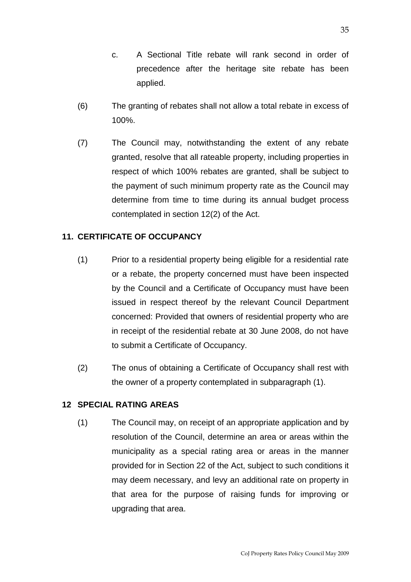- c. A Sectional Title rebate will rank second in order of precedence after the heritage site rebate has been applied.
- (6) The granting of rebates shall not allow a total rebate in excess of 100%.
- (7) The Council may, notwithstanding the extent of any rebate granted, resolve that all rateable property, including properties in respect of which 100% rebates are granted, shall be subject to the payment of such minimum property rate as the Council may determine from time to time during its annual budget process contemplated in section 12(2) of the Act.

## **11. CERTIFICATE OF OCCUPANCY**

- (1) Prior to a residential property being eligible for a residential rate or a rebate, the property concerned must have been inspected by the Council and a Certificate of Occupancy must have been issued in respect thereof by the relevant Council Department concerned: Provided that owners of residential property who are in receipt of the residential rebate at 30 June 2008, do not have to submit a Certificate of Occupancy.
- (2) The onus of obtaining a Certificate of Occupancy shall rest with the owner of a property contemplated in subparagraph (1).

### **12 SPECIAL RATING AREAS**

(1) The Council may, on receipt of an appropriate application and by resolution of the Council, determine an area or areas within the municipality as a special rating area or areas in the manner provided for in Section 22 of the Act, subject to such conditions it may deem necessary, and levy an additional rate on property in that area for the purpose of raising funds for improving or upgrading that area.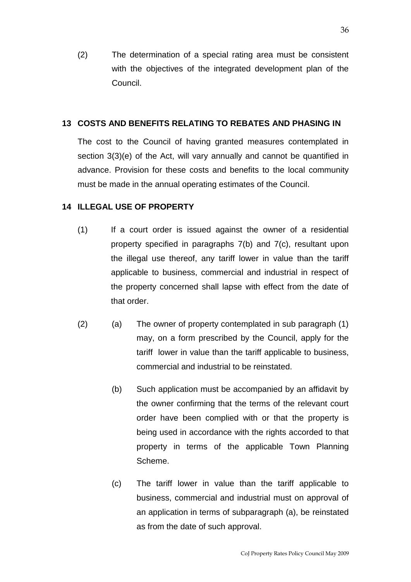(2) The determination of a special rating area must be consistent with the objectives of the integrated development plan of the Council.

#### **13 COSTS AND BENEFITS RELATING TO REBATES AND PHASING IN**

The cost to the Council of having granted measures contemplated in section 3(3)(e) of the Act, will vary annually and cannot be quantified in advance. Provision for these costs and benefits to the local community must be made in the annual operating estimates of the Council.

#### **14 ILLEGAL USE OF PROPERTY**

- (1) If a court order is issued against the owner of a residential property specified in paragraphs 7(b) and 7(c), resultant upon the illegal use thereof, any tariff lower in value than the tariff applicable to business, commercial and industrial in respect of the property concerned shall lapse with effect from the date of that order.
- (2) (a) The owner of property contemplated in sub paragraph (1) may, on a form prescribed by the Council, apply for the tariff lower in value than the tariff applicable to business, commercial and industrial to be reinstated.
	- (b) Such application must be accompanied by an affidavit by the owner confirming that the terms of the relevant court order have been complied with or that the property is being used in accordance with the rights accorded to that property in terms of the applicable Town Planning Scheme.
	- (c) The tariff lower in value than the tariff applicable to business, commercial and industrial must on approval of an application in terms of subparagraph (a), be reinstated as from the date of such approval.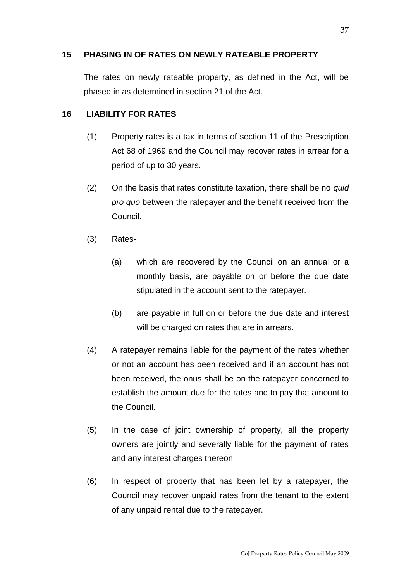### **15 PHASING IN OF RATES ON NEWLY RATEABLE PROPERTY**

The rates on newly rateable property, as defined in the Act, will be phased in as determined in section 21 of the Act.

## **16 LIABILITY FOR RATES**

- (1) Property rates is a tax in terms of section 11 of the Prescription Act 68 of 1969 and the Council may recover rates in arrear for a period of up to 30 years.
- (2) On the basis that rates constitute taxation, there shall be no *quid pro quo* between the ratepayer and the benefit received from the Council.
- (3) Rates-
	- (a) which are recovered by the Council on an annual or a monthly basis, are payable on or before the due date stipulated in the account sent to the ratepayer.
	- (b) are payable in full on or before the due date and interest will be charged on rates that are in arrears.
- (4) A ratepayer remains liable for the payment of the rates whether or not an account has been received and if an account has not been received, the onus shall be on the ratepayer concerned to establish the amount due for the rates and to pay that amount to the Council.
- (5) In the case of joint ownership of property, all the property owners are jointly and severally liable for the payment of rates and any interest charges thereon.
- (6) In respect of property that has been let by a ratepayer, the Council may recover unpaid rates from the tenant to the extent of any unpaid rental due to the ratepayer.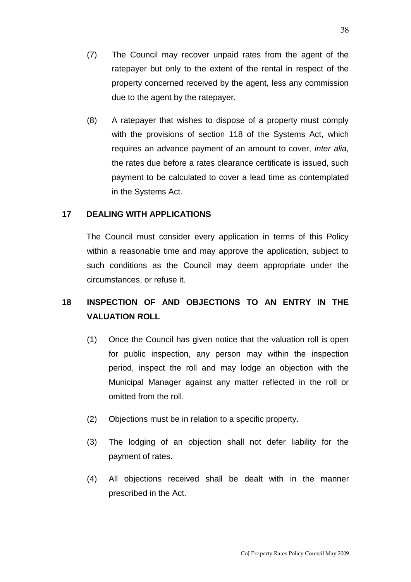- (7) The Council may recover unpaid rates from the agent of the ratepayer but only to the extent of the rental in respect of the property concerned received by the agent, less any commission due to the agent by the ratepayer.
- (8) A ratepayer that wishes to dispose of a property must comply with the provisions of section 118 of the Systems Act, which requires an advance payment of an amount to cover, *inter alia,* the rates due before a rates clearance certificate is issued, such payment to be calculated to cover a lead time as contemplated in the Systems Act.

#### **17 DEALING WITH APPLICATIONS**

The Council must consider every application in terms of this Policy within a reasonable time and may approve the application, subject to such conditions as the Council may deem appropriate under the circumstances, or refuse it.

## **18 INSPECTION OF AND OBJECTIONS TO AN ENTRY IN THE VALUATION ROLL**

- (1) Once the Council has given notice that the valuation roll is open for public inspection, any person may within the inspection period, inspect the roll and may lodge an objection with the Municipal Manager against any matter reflected in the roll or omitted from the roll.
- (2) Objections must be in relation to a specific property.
- (3) The lodging of an objection shall not defer liability for the payment of rates.
- (4) All objections received shall be dealt with in the manner prescribed in the Act.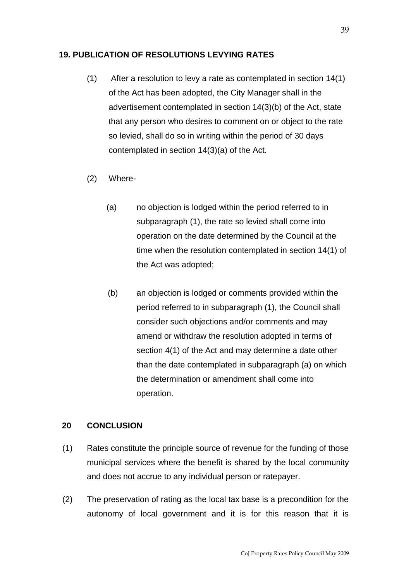#### **19. PUBLICATION OF RESOLUTIONS LEVYING RATES**

- (1) After a resolution to levy a rate as contemplated in section 14(1) of the Act has been adopted, the City Manager shall in the advertisement contemplated in section 14(3)(b) of the Act, state that any person who desires to comment on or object to the rate so levied, shall do so in writing within the period of 30 days contemplated in section 14(3)(a) of the Act.
- (2) Where-
	- (a) no objection is lodged within the period referred to in subparagraph (1), the rate so levied shall come into operation on the date determined by the Council at the time when the resolution contemplated in section 14(1) of the Act was adopted;
	- (b) an objection is lodged or comments provided within the period referred to in subparagraph (1), the Council shall consider such objections and/or comments and may amend or withdraw the resolution adopted in terms of section 4(1) of the Act and may determine a date other than the date contemplated in subparagraph (a) on which the determination or amendment shall come into operation.

#### **20 CONCLUSION**

- (1) Rates constitute the principle source of revenue for the funding of those municipal services where the benefit is shared by the local community and does not accrue to any individual person or ratepayer.
- (2) The preservation of rating as the local tax base is a precondition for the autonomy of local government and it is for this reason that it is